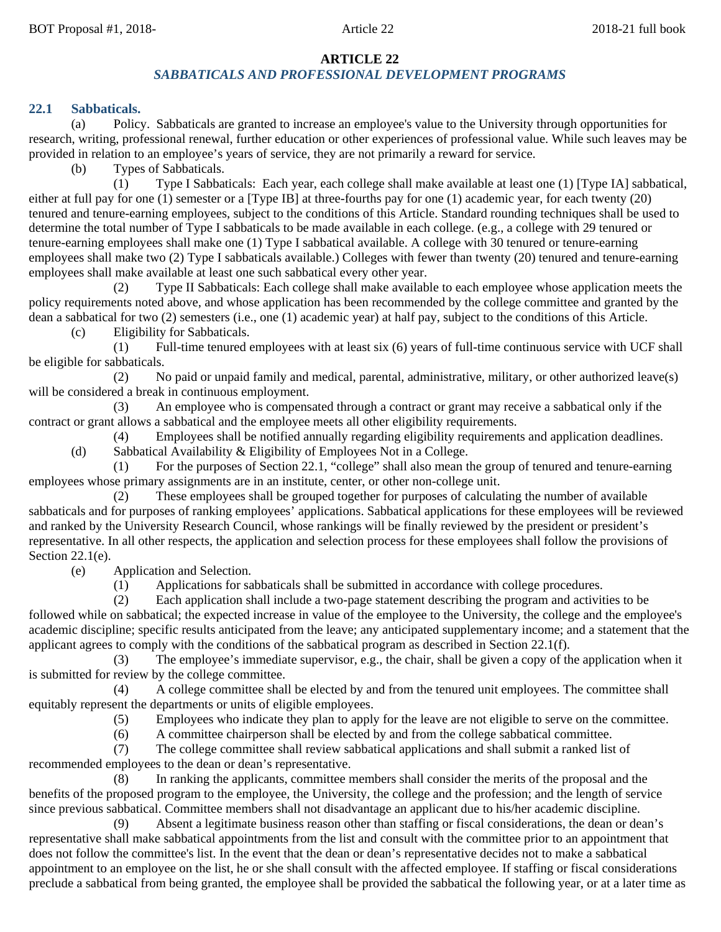## **ARTICLE 22**

## *SABBATICALS AND PROFESSIONAL DEVELOPMENT PROGRAMS*

#### **22.1 Sabbaticals.**

(a) Policy. Sabbaticals are granted to increase an employee's value to the University through opportunities for research, writing, professional renewal, further education or other experiences of professional value. While such leaves may be provided in relation to an employee's years of service, they are not primarily a reward for service.

(b) Types of Sabbaticals.

(1) Type I Sabbaticals: Each year, each college shall make available at least one (1) [Type IA] sabbatical, either at full pay for one (1) semester or a [Type IB] at three-fourths pay for one (1) academic year, for each twenty (20) tenured and tenure-earning employees, subject to the conditions of this Article. Standard rounding techniques shall be used to determine the total number of Type I sabbaticals to be made available in each college. (e.g., a college with 29 tenured or tenure-earning employees shall make one (1) Type I sabbatical available. A college with 30 tenured or tenure-earning employees shall make two (2) Type I sabbaticals available.) Colleges with fewer than twenty (20) tenured and tenure-earning employees shall make available at least one such sabbatical every other year.

(2) Type II Sabbaticals: Each college shall make available to each employee whose application meets the policy requirements noted above, and whose application has been recommended by the college committee and granted by the dean a sabbatical for two (2) semesters (i.e., one (1) academic year) at half pay, subject to the conditions of this Article.

(c) Eligibility for Sabbaticals.

(1) Full-time tenured employees with at least six (6) years of full-time continuous service with UCF shall be eligible for sabbaticals.

(2) No paid or unpaid family and medical, parental, administrative, military, or other authorized leave(s) will be considered a break in continuous employment.

(3) An employee who is compensated through a contract or grant may receive a sabbatical only if the contract or grant allows a sabbatical and the employee meets all other eligibility requirements.

(4) Employees shall be notified annually regarding eligibility requirements and application deadlines. (d) Sabbatical Availability & Eligibility of Employees Not in a College.

(1) For the purposes of Section 22.1, "college" shall also mean the group of tenured and tenure-earning employees whose primary assignments are in an institute, center, or other non-college unit.

(2) These employees shall be grouped together for purposes of calculating the number of available sabbaticals and for purposes of ranking employees' applications. Sabbatical applications for these employees will be reviewed and ranked by the University Research Council, whose rankings will be finally reviewed by the president or president's representative. In all other respects, the application and selection process for these employees shall follow the provisions of Section 22.1(e).

(e) Application and Selection.

(1) Applications for sabbaticals shall be submitted in accordance with college procedures.

(2) Each application shall include a two-page statement describing the program and activities to be followed while on sabbatical; the expected increase in value of the employee to the University, the college and the employee's academic discipline; specific results anticipated from the leave; any anticipated supplementary income; and a statement that the applicant agrees to comply with the conditions of the sabbatical program as described in Section 22.1(f).

(3) The employee's immediate supervisor, e.g., the chair, shall be given a copy of the application when it is submitted for review by the college committee.

(4) A college committee shall be elected by and from the tenured unit employees. The committee shall equitably represent the departments or units of eligible employees.

(5) Employees who indicate they plan to apply for the leave are not eligible to serve on the committee.

(6) A committee chairperson shall be elected by and from the college sabbatical committee.

(7) The college committee shall review sabbatical applications and shall submit a ranked list of recommended employees to the dean or dean's representative.

(8) In ranking the applicants, committee members shall consider the merits of the proposal and the benefits of the proposed program to the employee, the University, the college and the profession; and the length of service since previous sabbatical. Committee members shall not disadvantage an applicant due to his/her academic discipline.

(9) Absent a legitimate business reason other than staffing or fiscal considerations, the dean or dean's representative shall make sabbatical appointments from the list and consult with the committee prior to an appointment that does not follow the committee's list. In the event that the dean or dean's representative decides not to make a sabbatical appointment to an employee on the list, he or she shall consult with the affected employee. If staffing or fiscal considerations preclude a sabbatical from being granted, the employee shall be provided the sabbatical the following year, or at a later time as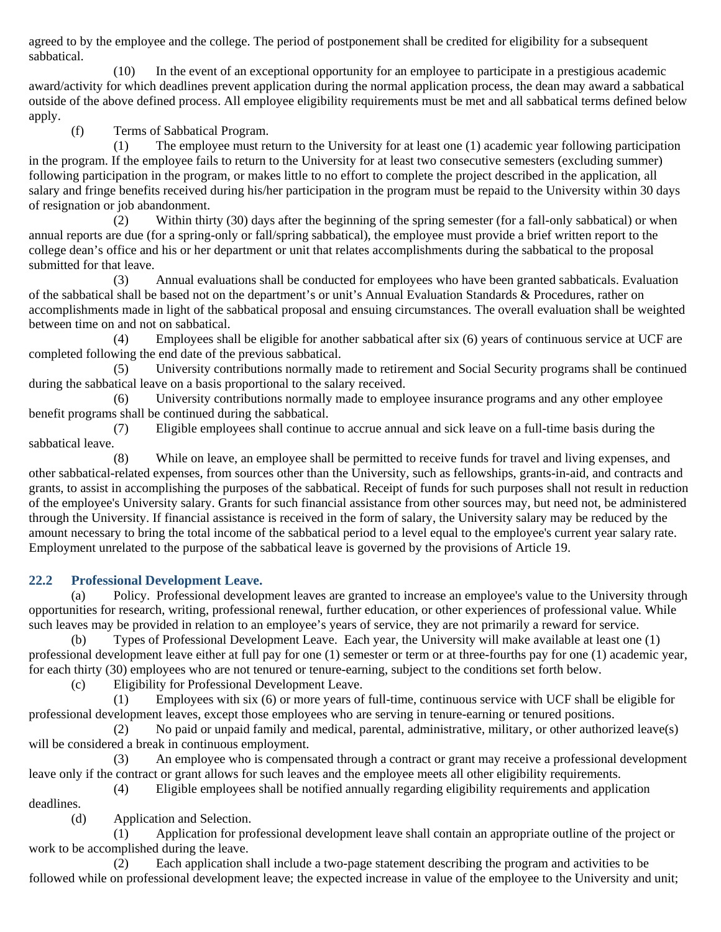agreed to by the employee and the college. The period of postponement shall be credited for eligibility for a subsequent sabbatical.

(10) In the event of an exceptional opportunity for an employee to participate in a prestigious academic award/activity for which deadlines prevent application during the normal application process, the dean may award a sabbatical outside of the above defined process. All employee eligibility requirements must be met and all sabbatical terms defined below apply.

(f) Terms of Sabbatical Program.

(1) The employee must return to the University for at least one (1) academic year following participation in the program. If the employee fails to return to the University for at least two consecutive semesters (excluding summer) following participation in the program, or makes little to no effort to complete the project described in the application, all salary and fringe benefits received during his/her participation in the program must be repaid to the University within 30 days of resignation or job abandonment.

(2) Within thirty (30) days after the beginning of the spring semester (for a fall-only sabbatical) or when annual reports are due (for a spring-only or fall/spring sabbatical), the employee must provide a brief written report to the college dean's office and his or her department or unit that relates accomplishments during the sabbatical to the proposal submitted for that leave.

(3) Annual evaluations shall be conducted for employees who have been granted sabbaticals. Evaluation of the sabbatical shall be based not on the department's or unit's Annual Evaluation Standards & Procedures, rather on accomplishments made in light of the sabbatical proposal and ensuing circumstances. The overall evaluation shall be weighted between time on and not on sabbatical.

(4) Employees shall be eligible for another sabbatical after six (6) years of continuous service at UCF are completed following the end date of the previous sabbatical.

(5) University contributions normally made to retirement and Social Security programs shall be continued during the sabbatical leave on a basis proportional to the salary received.

(6) University contributions normally made to employee insurance programs and any other employee benefit programs shall be continued during the sabbatical.

(7) Eligible employees shall continue to accrue annual and sick leave on a full-time basis during the sabbatical leave.

(8) While on leave, an employee shall be permitted to receive funds for travel and living expenses, and other sabbatical-related expenses, from sources other than the University, such as fellowships, grants-in-aid, and contracts and grants, to assist in accomplishing the purposes of the sabbatical. Receipt of funds for such purposes shall not result in reduction of the employee's University salary. Grants for such financial assistance from other sources may, but need not, be administered through the University. If financial assistance is received in the form of salary, the University salary may be reduced by the amount necessary to bring the total income of the sabbatical period to a level equal to the employee's current year salary rate. Employment unrelated to the purpose of the sabbatical leave is governed by the provisions of Article 19.

# **22.2 Professional Development Leave.**

(a) Policy. Professional development leaves are granted to increase an employee's value to the University through opportunities for research, writing, professional renewal, further education, or other experiences of professional value. While such leaves may be provided in relation to an employee's years of service, they are not primarily a reward for service.

Types of Professional Development Leave. Each year, the University will make available at least one (1) professional development leave either at full pay for one (1) semester or term or at three-fourths pay for one (1) academic year, for each thirty (30) employees who are not tenured or tenure-earning, subject to the conditions set forth below.

(c) Eligibility for Professional Development Leave.

(1) Employees with six (6) or more years of full-time, continuous service with UCF shall be eligible for professional development leaves, except those employees who are serving in tenure-earning or tenured positions.

(2) No paid or unpaid family and medical, parental, administrative, military, or other authorized leave(s) will be considered a break in continuous employment.

(3) An employee who is compensated through a contract or grant may receive a professional development leave only if the contract or grant allows for such leaves and the employee meets all other eligibility requirements.

(4) Eligible employees shall be notified annually regarding eligibility requirements and application

deadlines.

(d) Application and Selection.

(1) Application for professional development leave shall contain an appropriate outline of the project or work to be accomplished during the leave.

Each application shall include a two-page statement describing the program and activities to be followed while on professional development leave; the expected increase in value of the employee to the University and unit;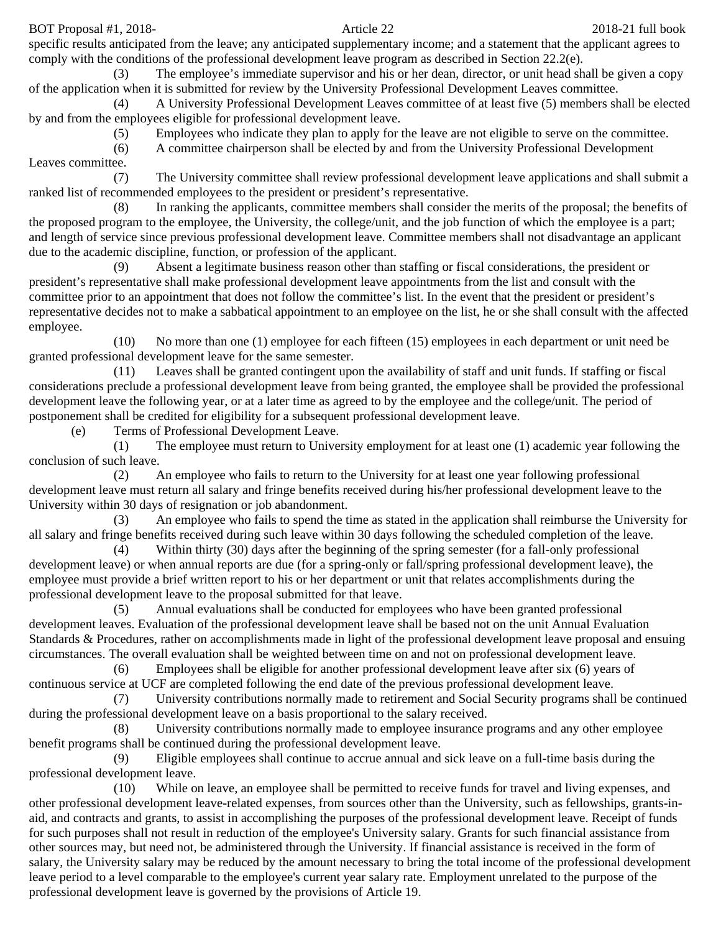BOT Proposal #1, 2018-21 full book Article 22 2018-21 full book

specific results anticipated from the leave; any anticipated supplementary income; and a statement that the applicant agrees to comply with the conditions of the professional development leave program as described in Section 22.2(e).

(3) The employee's immediate supervisor and his or her dean, director, or unit head shall be given a copy of the application when it is submitted for review by the University Professional Development Leaves committee.

(4) A University Professional Development Leaves committee of at least five (5) members shall be elected by and from the employees eligible for professional development leave.

(5) Employees who indicate they plan to apply for the leave are not eligible to serve on the committee.

(6) A committee chairperson shall be elected by and from the University Professional Development Leaves committee.

(7) The University committee shall review professional development leave applications and shall submit a ranked list of recommended employees to the president or president's representative.

(8) In ranking the applicants, committee members shall consider the merits of the proposal; the benefits of the proposed program to the employee, the University, the college/unit, and the job function of which the employee is a part; and length of service since previous professional development leave. Committee members shall not disadvantage an applicant due to the academic discipline, function, or profession of the applicant.

(9) Absent a legitimate business reason other than staffing or fiscal considerations, the president or president's representative shall make professional development leave appointments from the list and consult with the committee prior to an appointment that does not follow the committee's list. In the event that the president or president's representative decides not to make a sabbatical appointment to an employee on the list, he or she shall consult with the affected employee.

(10) No more than one (1) employee for each fifteen (15) employees in each department or unit need be granted professional development leave for the same semester.

(11) Leaves shall be granted contingent upon the availability of staff and unit funds. If staffing or fiscal considerations preclude a professional development leave from being granted, the employee shall be provided the professional development leave the following year, or at a later time as agreed to by the employee and the college/unit. The period of postponement shall be credited for eligibility for a subsequent professional development leave.

(e) Terms of Professional Development Leave.

(1) The employee must return to University employment for at least one (1) academic year following the conclusion of such leave.

(2) An employee who fails to return to the University for at least one year following professional development leave must return all salary and fringe benefits received during his/her professional development leave to the University within 30 days of resignation or job abandonment.

(3) An employee who fails to spend the time as stated in the application shall reimburse the University for all salary and fringe benefits received during such leave within 30 days following the scheduled completion of the leave.

(4) Within thirty (30) days after the beginning of the spring semester (for a fall-only professional development leave) or when annual reports are due (for a spring-only or fall/spring professional development leave), the employee must provide a brief written report to his or her department or unit that relates accomplishments during the professional development leave to the proposal submitted for that leave.

(5) Annual evaluations shall be conducted for employees who have been granted professional development leaves. Evaluation of the professional development leave shall be based not on the unit Annual Evaluation Standards & Procedures, rather on accomplishments made in light of the professional development leave proposal and ensuing circumstances. The overall evaluation shall be weighted between time on and not on professional development leave.

(6) Employees shall be eligible for another professional development leave after six (6) years of continuous service at UCF are completed following the end date of the previous professional development leave.

(7) University contributions normally made to retirement and Social Security programs shall be continued during the professional development leave on a basis proportional to the salary received.

(8) University contributions normally made to employee insurance programs and any other employee benefit programs shall be continued during the professional development leave.

(9) Eligible employees shall continue to accrue annual and sick leave on a full-time basis during the professional development leave.

(10) While on leave, an employee shall be permitted to receive funds for travel and living expenses, and other professional development leave-related expenses, from sources other than the University, such as fellowships, grants-inaid, and contracts and grants, to assist in accomplishing the purposes of the professional development leave. Receipt of funds for such purposes shall not result in reduction of the employee's University salary. Grants for such financial assistance from other sources may, but need not, be administered through the University. If financial assistance is received in the form of salary, the University salary may be reduced by the amount necessary to bring the total income of the professional development leave period to a level comparable to the employee's current year salary rate. Employment unrelated to the purpose of the professional development leave is governed by the provisions of Article 19.